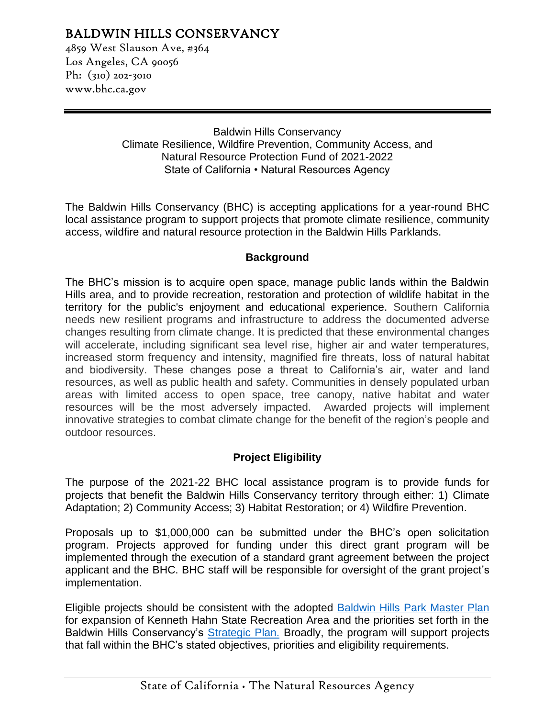# BALDWIN HILLS CONSERVANCY

4859 West Slauson Ave, #364 Los Angeles, CA 90056 Ph: (310) 202-3010 www.bhc.ca.gov

> Baldwin Hills Conservancy Climate Resilience, Wildfire Prevention, Community Access, and Natural Resource Protection Fund of 2021-2022 State of California • Natural Resources Agency

The Baldwin Hills Conservancy (BHC) is accepting applications for a year-round BHC local assistance program to support projects that promote climate resilience, community access, wildfire and natural resource protection in the Baldwin Hills Parklands.

#### **Background**

The BHC's mission is to acquire open space, manage public lands within the Baldwin Hills area, and to provide recreation, restoration and protection of wildlife habitat in the territory for the public's enjoyment and educational experience. Southern California needs new resilient programs and infrastructure to address the documented adverse changes resulting from climate change. It is predicted that these environmental changes will accelerate, including significant sea level rise, higher air and water temperatures, increased storm frequency and intensity, magnified fire threats, loss of natural habitat and biodiversity. These changes pose a threat to California's air, water and land resources, as well as public health and safety. Communities in densely populated urban areas with limited access to open space, tree canopy, native habitat and water resources will be the most adversely impacted. Awarded projects will implement innovative strategies to combat climate change for the benefit of the region's people and outdoor resources.

### **Project Eligibility**

The purpose of the 2021-22 BHC local assistance program is to provide funds for projects that benefit the Baldwin Hills Conservancy territory through either: 1) Climate Adaptation; 2) Community Access; 3) Habitat Restoration; or 4) Wildfire Prevention.

Proposals up to \$1,000,000 can be submitted under the BHC's open solicitation program. Projects approved for funding under this direct grant program will be implemented through the execution of a standard grant agreement between the project applicant and the BHC. BHC staff will be responsible for oversight of the grant project's implementation.

Eligible projects should be consistent with the adopted [Baldwin Hills Park Master Plan](http://bhc.ca.gov/webmaster/arc/documents/Baldwin_Hills__Master_Plan_Final.pdf) for expansion of Kenneth Hahn State Recreation Area and the priorities set forth in the Baldwin Hills Conservancy's **Strategic Plan.** Broadly, the program will support projects that fall within the BHC's stated objectives, priorities and eligibility requirements.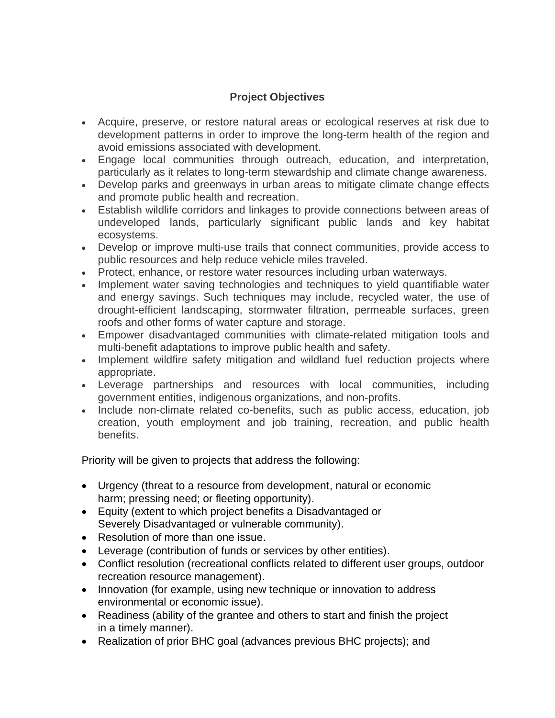## **Project Objectives**

- Acquire, preserve, or restore natural areas or ecological reserves at risk due to development patterns in order to improve the long-term health of the region and avoid emissions associated with development.
- Engage local communities through outreach, education, and interpretation, particularly as it relates to long-term stewardship and climate change awareness.
- Develop parks and greenways in urban areas to mitigate climate change effects and promote public health and recreation.
- Establish wildlife corridors and linkages to provide connections between areas of undeveloped lands, particularly significant public lands and key habitat ecosystems.
- Develop or improve multi-use trails that connect communities, provide access to public resources and help reduce vehicle miles traveled.
- Protect, enhance, or restore water resources including urban waterways.
- Implement water saving technologies and techniques to yield quantifiable water and energy savings. Such techniques may include, recycled water, the use of drought-efficient landscaping, stormwater filtration, permeable surfaces, green roofs and other forms of water capture and storage.
- Empower disadvantaged communities with climate-related mitigation tools and multi-benefit adaptations to improve public health and safety.
- Implement wildfire safety mitigation and wildland fuel reduction projects where appropriate.
- Leverage partnerships and resources with local communities, including government entities, indigenous organizations, and non-profits.
- Include non-climate related co-benefits, such as public access, education, job creation, youth employment and job training, recreation, and public health benefits.

Priority will be given to projects that address the following:

- Urgency (threat to a resource from development, natural or economic harm; pressing need; or fleeting opportunity).
- Equity (extent to which project benefits a Disadvantaged or Severely Disadvantaged or vulnerable community).
- Resolution of more than one issue.
- Leverage (contribution of funds or services by other entities).
- Conflict resolution (recreational conflicts related to different user groups, outdoor recreation resource management).
- Innovation (for example, using new technique or innovation to address environmental or economic issue).
- Readiness (ability of the grantee and others to start and finish the project in a timely manner).
- Realization of prior BHC goal (advances previous BHC projects); and